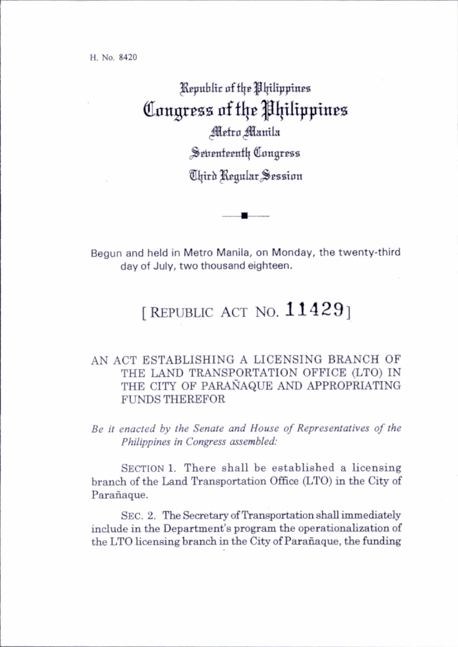H. No. 8420

## Republic of the Philippines Congress of the Philippines

Metro Manila Seventeenth Congress

Third Regular Session

Begun and held in Metro Manila, on Monday, the twenty-third day of July, two thous and eighteen.

## [REPUBLIC ACT NO.  $11429$ ]

## AN ACT ESTABLISHING A LICENSING BRANCH OF THE LAND TRANSPORTATION OFFICE (LTO) IN THE CITY OF PARANAQUE AND APPROPRIATING FUNDS THEREFOR

Be it enacted by the Senate and House of Representatives of the Philippines in Congress assembled:

SECTION 1. There shall be established a licensing branch of the Land Transportation Office (LTO) in the City of Parañaque.

SEC. 2. The Secretary of Transportation shall immediately include in the Department's program the operationahzation of the LTO licensing branch in the City of Parañaque, the funding